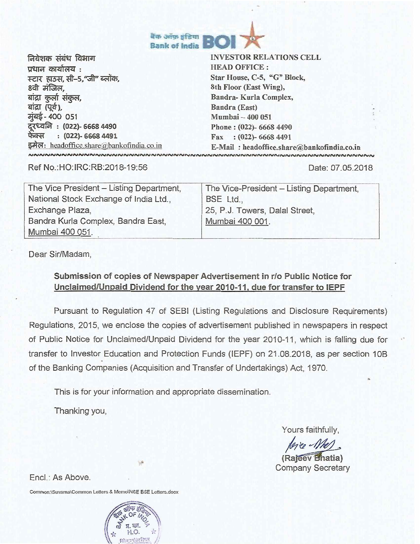

निवेशक संबंध विभाग प्रधान कार्यालय $\,$  : स्टार हा**उस, सी-5,** जी" ब्लॉक, 8वी मंजिल, बांद्रा कुर्ला संकुल, बांद्रा (पूर्व), **मुंबई- 400 051 79-c7fA :** (022)- 6668 4490 फेक्स : (022)- 6668 4491 इमेल: headoffice.share@bankofindia.co.in **INNNNNNNNNNNNNNNNNN** 

INVESTOR RELATIONS CELL HEAD OFFICE : Star House, C-5, "G" Block, 8th Floor (East Wing), Bandra- Kurla Complex, Bandra (East) Mumbai — 400 051 Phone : (022)- 6668 4490 Fax : (022)- 6668 4491

E-Mail: headoffice.share@bankofindia.co.in<br>https://www.analysis.com/www.analysis.com/www.analysis.com

Ref No.:HO:IRC:RB:2018-19:56 Date: 07.05.2018

| The Vice President - Listing Department, | The Vice-President - Listing Department, |
|------------------------------------------|------------------------------------------|
|                                          |                                          |
| National Stock Exchange of India Ltd.,   | BSE Ltd.,                                |
| Exchange Plaza,                          | 25, P.J. Towers, Dalal Street,           |
| Bandra Kurla Complex, Bandra East,       | Mumbai 400 001.                          |
| Mumbai 400 051.                          |                                          |

Dear Sir/Madam,

## **Submission of copies of Newspaper Advertisement in r/o Public Notice for Unclaimed/Unpaid Dividend for the year 2010-11, due for transfer to IEPF**

Pursuant to Regulation 47 of SEBI (Listing Regulations and Disclosure Requirements) Regulations, 2015, we enclose the copies of advertisement published in newspapers in respect of Public Notice for Unclaimed/Unpaid Dividend for the year 2010-11, which is falling due for transfer to Investor Education and Protection Funds (IEPF) on 21\_08.2018, as per section 10B of the Banking Companies (Acquisition and Transfer of Undertakings) Act, 1970.

This is for your information and appropriate dissemination.

Thanking you,

Yours faithfully,

deres Nel

**(Rajeev Bhatia)** Company Secretary

Encl.: As Above.

Common:\SuvarnalCommon Letters & MemoNNSE BSE Letters.docx